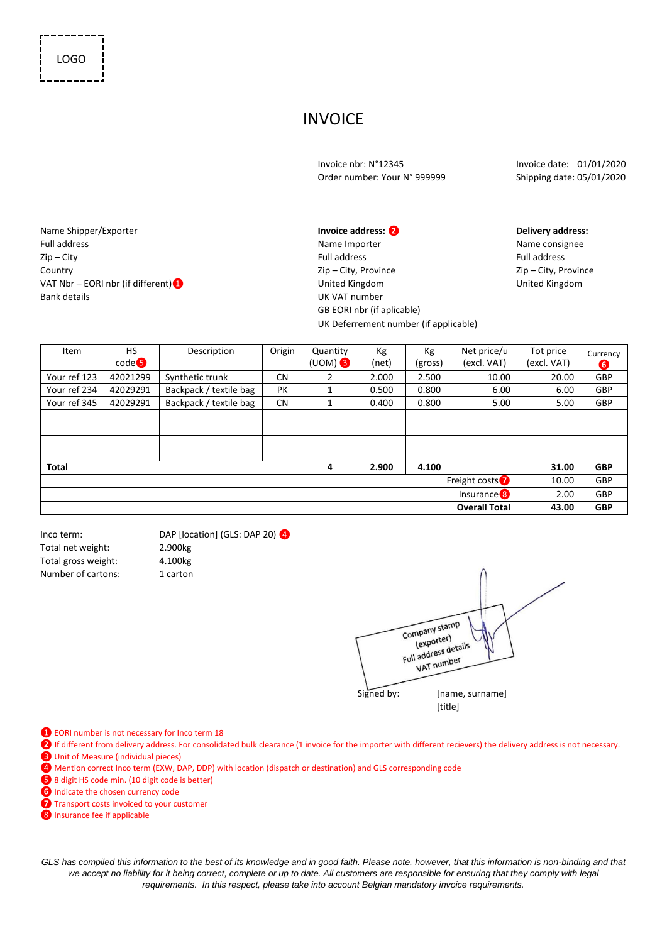## INVOICE

Invoice nbr: N°12345<br>Order number: Your N° 999999 Shipping date: 05/01/2020 Order number: Your N° 999999

GB EORI nbr (if aplicable)

UK Deferrement number (if applicable)

Name Shipper/Exporter **Invoice address: ❷ Delivery address:**  Full address **Name Importer** Name Importer Name Importer Name Consignee Zip – City Full address Full address Country Zip – City, Province Zip – City, Province VAT Nbr – EORI nbr (if different) ● 
United Kingdom 
United Kingdom 
United Kingdom 
United Kingdom 
United Kingdom 
United Kingdom 
United Kingdom 
United Kingdom 
United Kingdom 
United Kingdom 
United Kingdom 
United K Bank details **Bank details Bank** details **UK VAT** number

Item HS code❺ Description | Origin | Quantity (UOM) ❸ Kg (net) Kg (gross) Net price/u (excl. VAT) Tot price (excl. VAT) Currency **❻** Your ref 123 42021299 Synthetic trunk CN 2 2.000 2.500 10.00 20.00 GBP Your ref 234 | 42029291 | Backpack / textile bag | PK | 1 | 0.500 | 0.800 | 6.00 | 6.00 | GBP Your ref 345 | 42029291 | Backpack / textile bag | CN | 1 | 0.400 | 0.800 | 5.00 | 5.00 | GBP **Total 4 2.900 4.100 31.00 GBP** Freight costs<sup>1</sup> 10.00 GBP Insurance<sup>8</sup> 2.00 GBP **Overall Total 43.00 GBP**

Total net weight: 2.900kg Total gross weight: 4.100kg Number of cartons: 1 carton

Inco term: DAP [location] (GLS: DAP 20) 4

Company stamp mpany<br>(exporter) exporter)<br>Full address details vat number Signed by: [name, surname]

[title]

- ❶ EORI number is not necessary for Inco term 18
- **❷ I**f different from delivery address. For consolidated bulk clearance (1 invoice for the importer with different recievers) the delivery address is not necessary.
- ❸ Unit of Measure (individual pieces)
- ❹ Mention correct Inco term (EXW, DAP, DDP) with location (dispatch or destination) and GLS corresponding code
- ❺ 8 digit HS code min. (10 digit code is better)
- *o* Indicate the chosen currency code
- *O* Transport costs invoiced to your customer
- <sup>8</sup> Insurance fee if applicable

GLS has compiled this information to the best of its knowledge and in good faith. Please note, however, that this information is non-binding and that we accept no liability for it being correct, complete or up to date. All customers are responsible for ensuring that they comply with legal *requirements. In this respect, please take into account Belgian mandatory invoice requirements.*

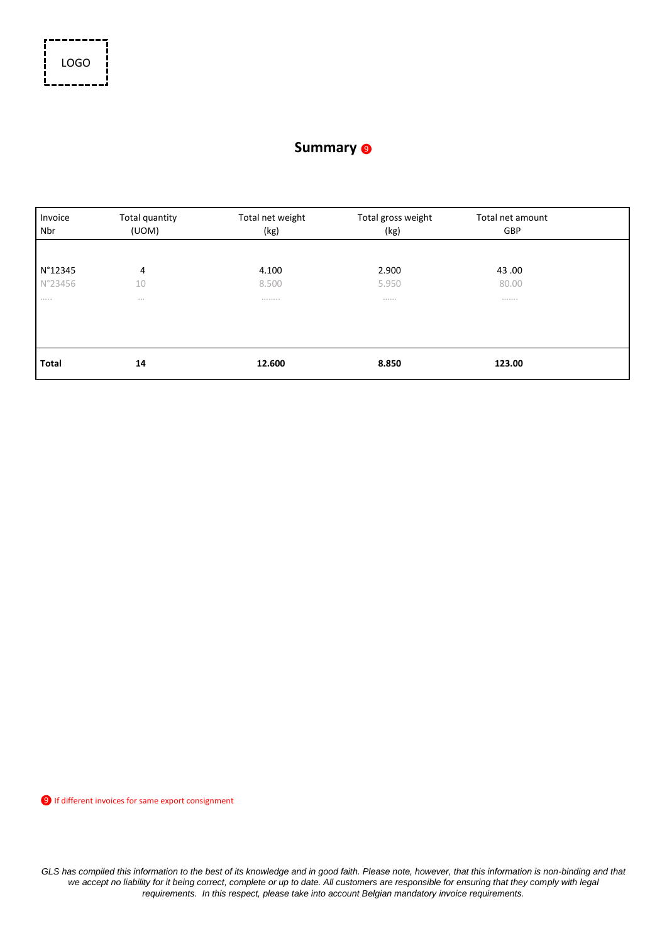

## **Summary** <sup>❾</sup>

| Invoice<br>Nbr | Total quantity<br>(UOM) | Total net weight<br>(kg) | Total gross weight<br>(kg) | Total net amount<br>GBP |  |
|----------------|-------------------------|--------------------------|----------------------------|-------------------------|--|
| N°12345        | 4                       | 4.100                    | 2.900                      | 43.00                   |  |
| N°23456<br>    | 10<br>$\cdots$          | 8.500<br>                | 5.950<br>                  | 80.00<br>               |  |
|                |                         |                          |                            |                         |  |
| <b>Total</b>   | 14                      | 12.600                   | 8.850                      | 123.00                  |  |

❾ If different invoices for same export consignment

GLS has compiled this information to the best of its knowledge and in good faith. Please note, however, that this information is non-binding and that *we accept no liability for it being correct, complete or up to date. All customers are responsible for ensuring that they comply with legal requirements. In this respect, please take into account Belgian mandatory invoice requirements.*